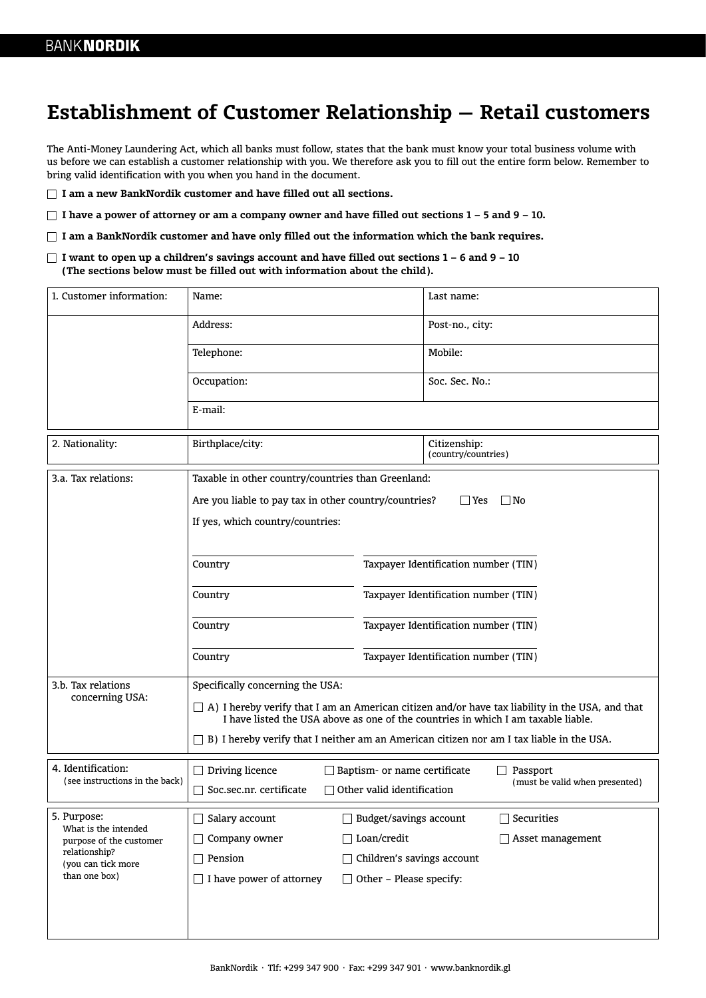## **Establishment of Customer Relationship — Retail customers**

The Anti-Money Laundering Act, which all banks must follow, states that the bank must know your total business volume with us before we can establish a customer relationship with you. We therefore ask you to fill out the entire form below. Remember to bring valid identification with you when you hand in the document.

**I am a new BankNordik customer and have filled out all sections.**

**I have a power of attorney or am a company owner and have filled out sections 1 – 5 and 9 – 10.**

**I am a BankNordik customer and have only filled out the information which the bank requires.**

**I want to open up a children's savings account and have filled out sections 1 – 6 and 9 – 10 (The sections below must be filled out with information about the child).**

| 1. Customer information:                                                                                               | Name:                                                                                                                                                                                |                                      | Last name:                          |  |
|------------------------------------------------------------------------------------------------------------------------|--------------------------------------------------------------------------------------------------------------------------------------------------------------------------------------|--------------------------------------|-------------------------------------|--|
|                                                                                                                        | Address:                                                                                                                                                                             |                                      | Post-no., city:                     |  |
|                                                                                                                        | Telephone:                                                                                                                                                                           |                                      | Mobile:                             |  |
|                                                                                                                        | Occupation:                                                                                                                                                                          |                                      | Soc. Sec. No.:                      |  |
|                                                                                                                        | E-mail:                                                                                                                                                                              |                                      |                                     |  |
| 2. Nationality:                                                                                                        | Birthplace/city:                                                                                                                                                                     |                                      | Citizenship:<br>(country/countries) |  |
| 3.a. Tax relations:                                                                                                    | Taxable in other country/countries than Greenland:                                                                                                                                   |                                      |                                     |  |
|                                                                                                                        | Are you liable to pay tax in other country/countries?<br>  Yes<br>$ $ No                                                                                                             |                                      |                                     |  |
|                                                                                                                        | If yes, which country/countries:                                                                                                                                                     |                                      |                                     |  |
|                                                                                                                        |                                                                                                                                                                                      |                                      |                                     |  |
|                                                                                                                        | Country                                                                                                                                                                              | Taxpayer Identification number (TIN) |                                     |  |
|                                                                                                                        | Country                                                                                                                                                                              | Taxpayer Identification number (TIN) |                                     |  |
|                                                                                                                        | Country                                                                                                                                                                              | Taxpayer Identification number (TIN) |                                     |  |
|                                                                                                                        | Country                                                                                                                                                                              | Taxpayer Identification number (TIN) |                                     |  |
| 3.b. Tax relations<br>concerning USA:                                                                                  | Specifically concerning the USA:                                                                                                                                                     |                                      |                                     |  |
|                                                                                                                        | A) I hereby verify that I am an American citizen and/or have tax liability in the USA, and that<br>I have listed the USA above as one of the countries in which I am taxable liable. |                                      |                                     |  |
|                                                                                                                        | B) I hereby verify that I neither am an American citizen nor am I tax liable in the USA.                                                                                             |                                      |                                     |  |
| 4. Identification:<br>(see instructions in the back)                                                                   | Driving licence<br>$\mathsf{L}$                                                                                                                                                      | Baptism- or name certificate         | Passport                            |  |
|                                                                                                                        | Soc.sec.nr. certificate                                                                                                                                                              | Other valid identification           | (must be valid when presented)      |  |
| 5. Purpose:<br>What is the intended<br>purpose of the customer<br>relationship?<br>(you can tick more<br>than one box) | Salary account                                                                                                                                                                       | Budget/savings account               | Securities                          |  |
|                                                                                                                        | Company owner                                                                                                                                                                        | $\Box$ Loan/credit                   | $\Box$ Asset management             |  |
|                                                                                                                        | $\Box$ Pension<br>□ Children's savings account                                                                                                                                       |                                      |                                     |  |
|                                                                                                                        | $\Box$ I have power of attorney<br>$\Box$ Other - Please specify:                                                                                                                    |                                      |                                     |  |
|                                                                                                                        |                                                                                                                                                                                      |                                      |                                     |  |
|                                                                                                                        |                                                                                                                                                                                      |                                      |                                     |  |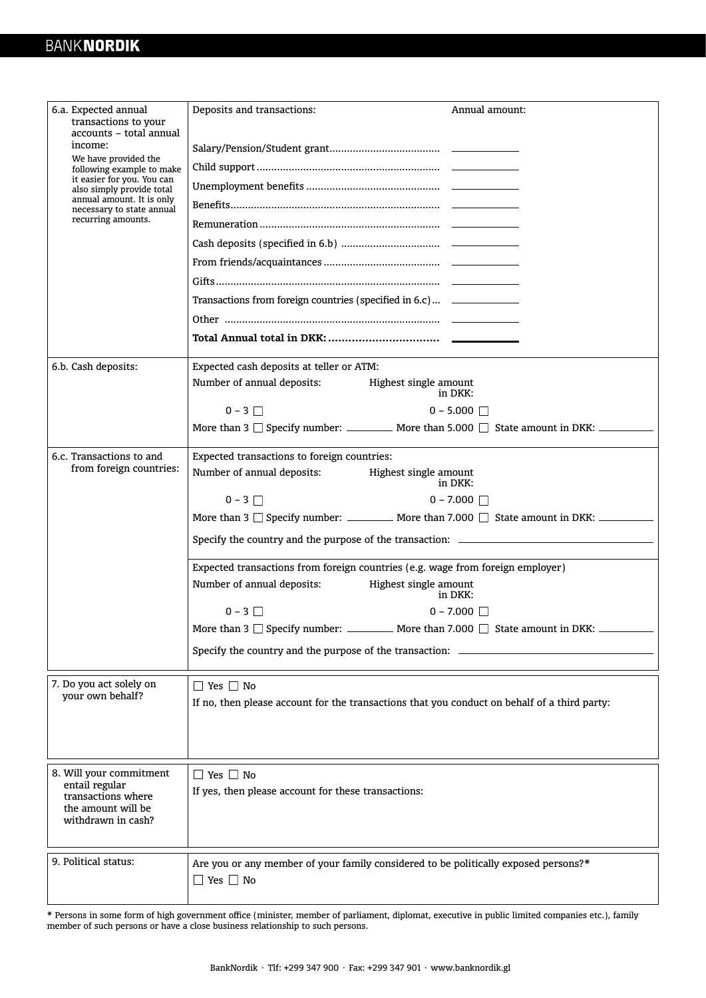| 6.a. Expected annual<br>transactions to your<br>accounts - total annual<br>income:<br>We have provided the<br>following example to make<br>it easier for you. You can<br>also simply provide total<br>annual amount. It is only<br>necessary to state annual<br>recurring amounts. | Deposits and transactions:<br>Annual amount:<br>Transactions from foreign countries (specified in 6.c) ______________ |  |  |  |
|------------------------------------------------------------------------------------------------------------------------------------------------------------------------------------------------------------------------------------------------------------------------------------|-----------------------------------------------------------------------------------------------------------------------|--|--|--|
| 6.b. Cash deposits:                                                                                                                                                                                                                                                                | Expected cash deposits at teller or ATM:                                                                              |  |  |  |
|                                                                                                                                                                                                                                                                                    | Number of annual deposits:<br>Highest single amount<br>in DKK:                                                        |  |  |  |
|                                                                                                                                                                                                                                                                                    | $0 - 3$<br>$0 - 5.000$                                                                                                |  |  |  |
|                                                                                                                                                                                                                                                                                    | More than 3 $\Box$ Specify number: _________ More than 5.000 $\Box$ State amount in DKK: _______                      |  |  |  |
| 6.c. Transactions to and                                                                                                                                                                                                                                                           | Expected transactions to foreign countries:                                                                           |  |  |  |
| from foreign countries:                                                                                                                                                                                                                                                            | Number of annual deposits:<br>Highest single amount<br>in DKK:                                                        |  |  |  |
|                                                                                                                                                                                                                                                                                    | $0 - 3$<br>$0 - 7.000$ $\Box$                                                                                         |  |  |  |
|                                                                                                                                                                                                                                                                                    | More than 3 $\Box$ Specify number: ___________ More than 7.000 $\Box$ State amount in DKK: ____________               |  |  |  |
|                                                                                                                                                                                                                                                                                    | Specify the country and the purpose of the transaction: _________________________                                     |  |  |  |
|                                                                                                                                                                                                                                                                                    | Expected transactions from foreign countries (e.g. wage from foreign employer)                                        |  |  |  |
|                                                                                                                                                                                                                                                                                    | Number of annual deposits:<br>Highest single amount<br>in DKK:                                                        |  |  |  |
|                                                                                                                                                                                                                                                                                    | $0 - 3$    <br>$0 - 7.000$ $\Box$                                                                                     |  |  |  |
|                                                                                                                                                                                                                                                                                    | More than 3 $\Box$ Specify number: ___________ More than 7.000 $\Box$ State amount in DKK:                            |  |  |  |
|                                                                                                                                                                                                                                                                                    | Specify the country and the purpose of the transaction: _____                                                         |  |  |  |
| 7. Do you act solely on<br>vour own behalf?                                                                                                                                                                                                                                        | $\Box$ Yes $\Box$ No                                                                                                  |  |  |  |
|                                                                                                                                                                                                                                                                                    | If no, then please account for the transactions that you conduct on behalf of a third party:                          |  |  |  |
|                                                                                                                                                                                                                                                                                    |                                                                                                                       |  |  |  |
|                                                                                                                                                                                                                                                                                    |                                                                                                                       |  |  |  |
| 8. Will your commitment                                                                                                                                                                                                                                                            | $\Box$ Yes $\Box$ No                                                                                                  |  |  |  |
| entail regular<br>transactions where<br>the amount will be<br>withdrawn in cash?                                                                                                                                                                                                   | If yes, then please account for these transactions:                                                                   |  |  |  |
|                                                                                                                                                                                                                                                                                    |                                                                                                                       |  |  |  |
|                                                                                                                                                                                                                                                                                    |                                                                                                                       |  |  |  |
| 9. Political status:                                                                                                                                                                                                                                                               | Are you or any member of your family considered to be politically exposed persons?*                                   |  |  |  |
|                                                                                                                                                                                                                                                                                    | $\Box$ Yes $\Box$ No                                                                                                  |  |  |  |
|                                                                                                                                                                                                                                                                                    |                                                                                                                       |  |  |  |

\* Persons in some form of high government office (minister, member of parliament, diplomat, executive in public limited companies etc.), family member of such persons or have a close business relationship to such persons.